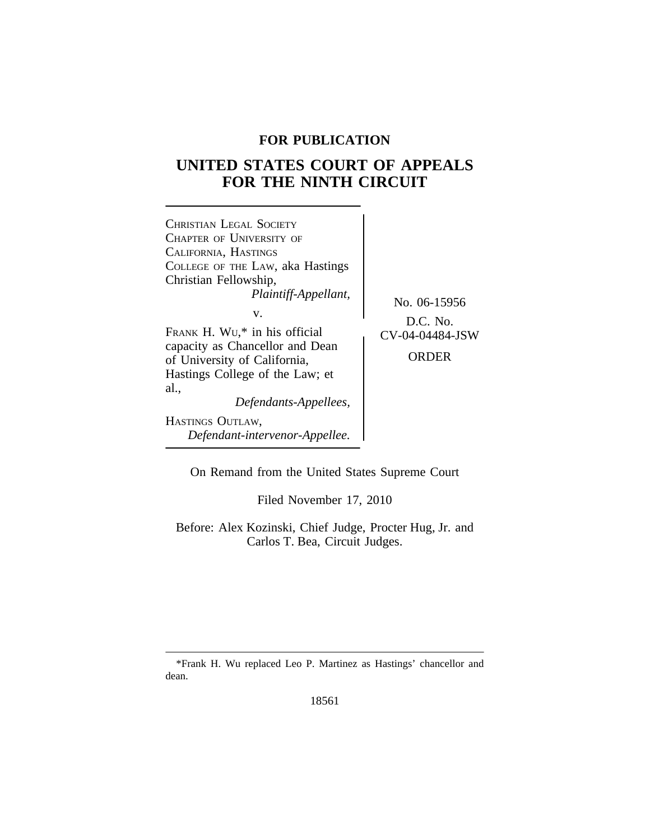# **FOR PUBLICATION**

# **UNITED STATES COURT OF APPEALS FOR THE NINTH CIRCUIT**



On Remand from the United States Supreme Court

Filed November 17, 2010

Before: Alex Kozinski, Chief Judge, Procter Hug, Jr. and Carlos T. Bea, Circuit Judges.

\*Frank H. Wu replaced Leo P. Martinez as Hastings' chancellor and dean.

18561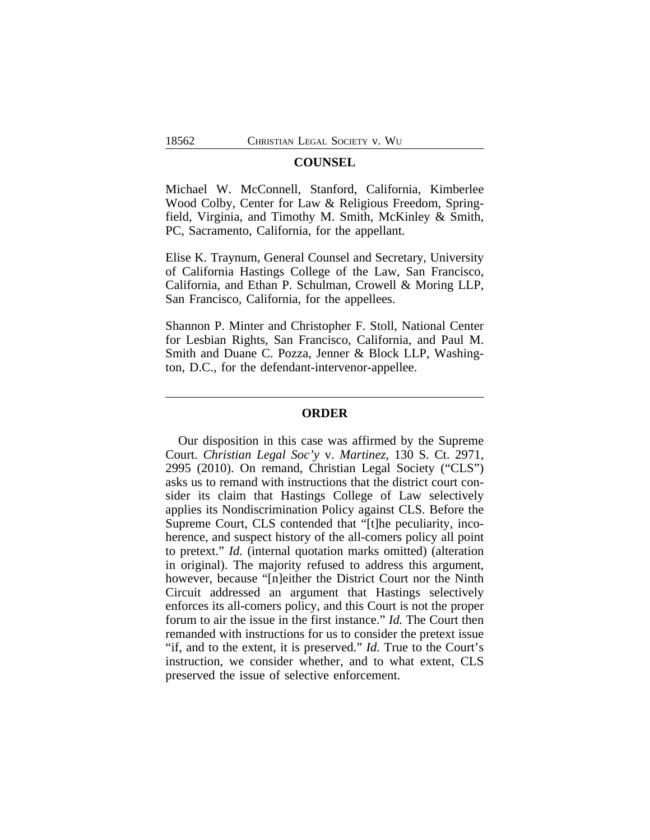#### **COUNSEL**

Michael W. McConnell, Stanford, California, Kimberlee Wood Colby, Center for Law & Religious Freedom, Springfield, Virginia, and Timothy M. Smith, McKinley & Smith, PC, Sacramento, California, for the appellant.

Elise K. Traynum, General Counsel and Secretary, University of California Hastings College of the Law, San Francisco, California, and Ethan P. Schulman, Crowell & Moring LLP, San Francisco, California, for the appellees.

Shannon P. Minter and Christopher F. Stoll, National Center for Lesbian Rights, San Francisco, California, and Paul M. Smith and Duane C. Pozza, Jenner & Block LLP, Washington, D.C., for the defendant-intervenor-appellee.

### **ORDER**

Our disposition in this case was affirmed by the Supreme Court. *Christian Legal Soc'y* v. *Martinez*, 130 S. Ct. 2971, 2995 (2010). On remand, Christian Legal Society ("CLS") asks us to remand with instructions that the district court consider its claim that Hastings College of Law selectively applies its Nondiscrimination Policy against CLS. Before the Supreme Court, CLS contended that "[t]he peculiarity, incoherence, and suspect history of the all-comers policy all point to pretext." *Id.* (internal quotation marks omitted) (alteration in original). The majority refused to address this argument, however, because "[n]either the District Court nor the Ninth Circuit addressed an argument that Hastings selectively enforces its all-comers policy, and this Court is not the proper forum to air the issue in the first instance." *Id.* The Court then remanded with instructions for us to consider the pretext issue "if, and to the extent, it is preserved." *Id.* True to the Court's instruction, we consider whether, and to what extent, CLS preserved the issue of selective enforcement.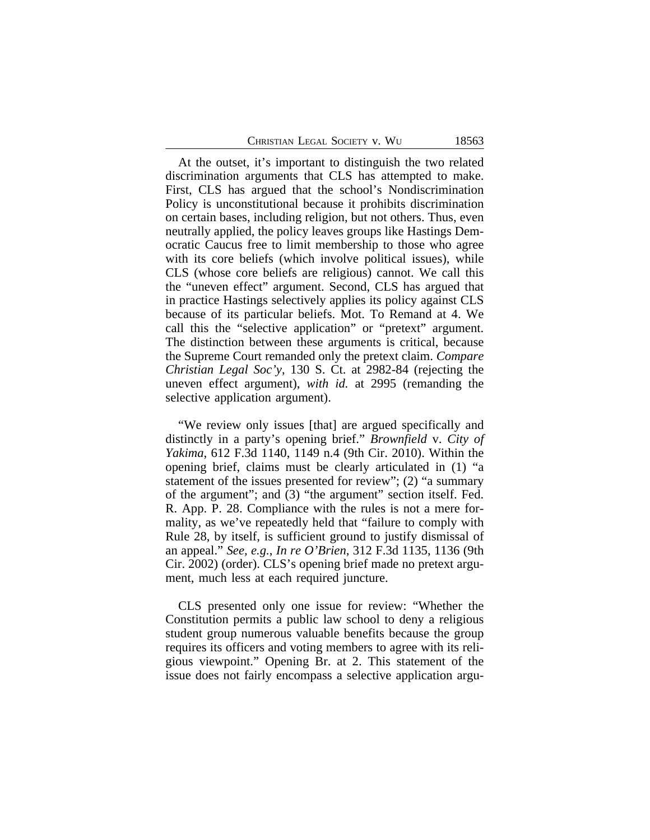At the outset, it's important to distinguish the two related discrimination arguments that CLS has attempted to make. First, CLS has argued that the school's Nondiscrimination Policy is unconstitutional because it prohibits discrimination on certain bases, including religion, but not others. Thus, even neutrally applied, the policy leaves groups like Hastings Democratic Caucus free to limit membership to those who agree with its core beliefs (which involve political issues), while CLS (whose core beliefs are religious) cannot. We call this the "uneven effect" argument. Second, CLS has argued that in practice Hastings selectively applies its policy against CLS because of its particular beliefs. Mot. To Remand at 4. We call this the "selective application" or "pretext" argument. The distinction between these arguments is critical, because the Supreme Court remanded only the pretext claim. *Compare Christian Legal Soc'y*, 130 S. Ct. at 2982-84 (rejecting the uneven effect argument), *with id.* at 2995 (remanding the selective application argument).

"We review only issues [that] are argued specifically and distinctly in a party's opening brief." *Brownfield* v. *City of Yakima*, 612 F.3d 1140, 1149 n.4 (9th Cir. 2010). Within the opening brief, claims must be clearly articulated in (1) "a statement of the issues presented for review"; (2) "a summary of the argument"; and (3) "the argument" section itself. Fed. R. App. P. 28. Compliance with the rules is not a mere formality, as we've repeatedly held that "failure to comply with Rule 28, by itself, is sufficient ground to justify dismissal of an appeal." *See, e.g.*, *In re O'Brien*, 312 F.3d 1135, 1136 (9th Cir. 2002) (order). CLS's opening brief made no pretext argument, much less at each required juncture.

CLS presented only one issue for review: "Whether the Constitution permits a public law school to deny a religious student group numerous valuable benefits because the group requires its officers and voting members to agree with its religious viewpoint." Opening Br. at 2. This statement of the issue does not fairly encompass a selective application argu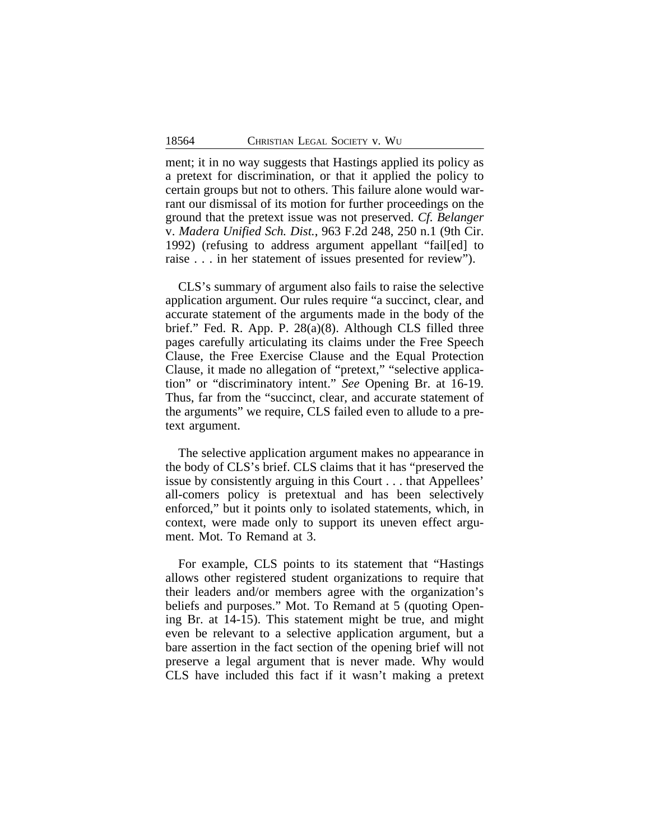ment; it in no way suggests that Hastings applied its policy as a pretext for discrimination, or that it applied the policy to certain groups but not to others. This failure alone would warrant our dismissal of its motion for further proceedings on the ground that the pretext issue was not preserved. *Cf. Belanger* v. *Madera Unified Sch. Dist.*, 963 F.2d 248, 250 n.1 (9th Cir. 1992) (refusing to address argument appellant "fail[ed] to raise . . . in her statement of issues presented for review").

CLS's summary of argument also fails to raise the selective application argument. Our rules require "a succinct, clear, and accurate statement of the arguments made in the body of the brief." Fed. R. App. P. 28(a)(8). Although CLS filled three pages carefully articulating its claims under the Free Speech Clause, the Free Exercise Clause and the Equal Protection Clause, it made no allegation of "pretext," "selective application" or "discriminatory intent." *See* Opening Br. at 16-19. Thus, far from the "succinct, clear, and accurate statement of the arguments" we require, CLS failed even to allude to a pretext argument.

The selective application argument makes no appearance in the body of CLS's brief. CLS claims that it has "preserved the issue by consistently arguing in this Court . . . that Appellees' all-comers policy is pretextual and has been selectively enforced," but it points only to isolated statements, which, in context, were made only to support its uneven effect argument. Mot. To Remand at 3.

For example, CLS points to its statement that "Hastings allows other registered student organizations to require that their leaders and/or members agree with the organization's beliefs and purposes." Mot. To Remand at 5 (quoting Opening Br. at 14-15). This statement might be true, and might even be relevant to a selective application argument, but a bare assertion in the fact section of the opening brief will not preserve a legal argument that is never made. Why would CLS have included this fact if it wasn't making a pretext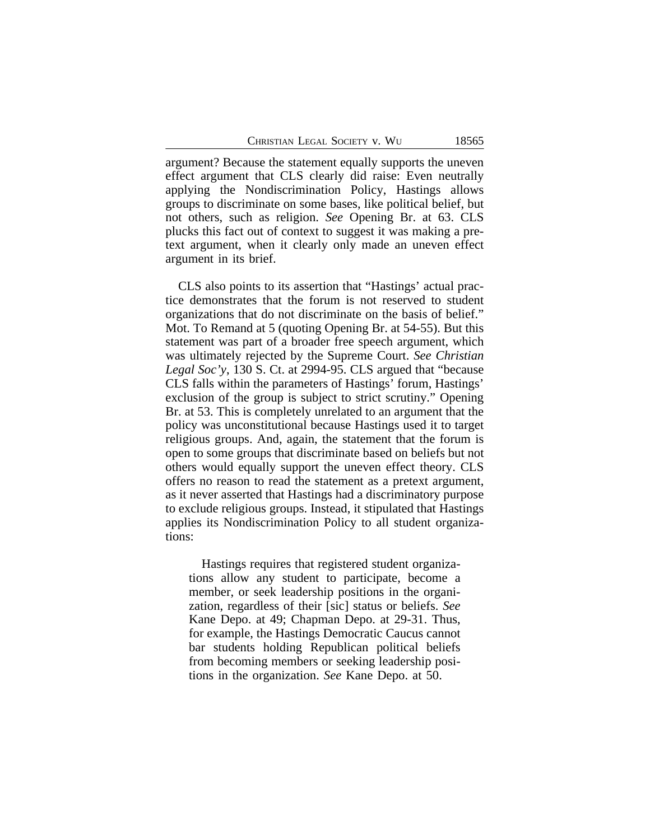argument? Because the statement equally supports the uneven effect argument that CLS clearly did raise: Even neutrally applying the Nondiscrimination Policy, Hastings allows groups to discriminate on some bases, like political belief, but not others, such as religion. *See* Opening Br. at 63. CLS plucks this fact out of context to suggest it was making a pretext argument, when it clearly only made an uneven effect argument in its brief.

CLS also points to its assertion that "Hastings' actual practice demonstrates that the forum is not reserved to student organizations that do not discriminate on the basis of belief." Mot. To Remand at 5 (quoting Opening Br. at 54-55). But this statement was part of a broader free speech argument, which was ultimately rejected by the Supreme Court. *See Christian Legal Soc'y*, 130 S. Ct. at 2994-95. CLS argued that "because CLS falls within the parameters of Hastings' forum, Hastings' exclusion of the group is subject to strict scrutiny." Opening Br. at 53. This is completely unrelated to an argument that the policy was unconstitutional because Hastings used it to target religious groups. And, again, the statement that the forum is open to some groups that discriminate based on beliefs but not others would equally support the uneven effect theory. CLS offers no reason to read the statement as a pretext argument, as it never asserted that Hastings had a discriminatory purpose to exclude religious groups. Instead, it stipulated that Hastings applies its Nondiscrimination Policy to all student organizations:

Hastings requires that registered student organizations allow any student to participate, become a member, or seek leadership positions in the organization, regardless of their [sic] status or beliefs. *See* Kane Depo. at 49; Chapman Depo. at 29-31. Thus, for example, the Hastings Democratic Caucus cannot bar students holding Republican political beliefs from becoming members or seeking leadership positions in the organization. *See* Kane Depo. at 50.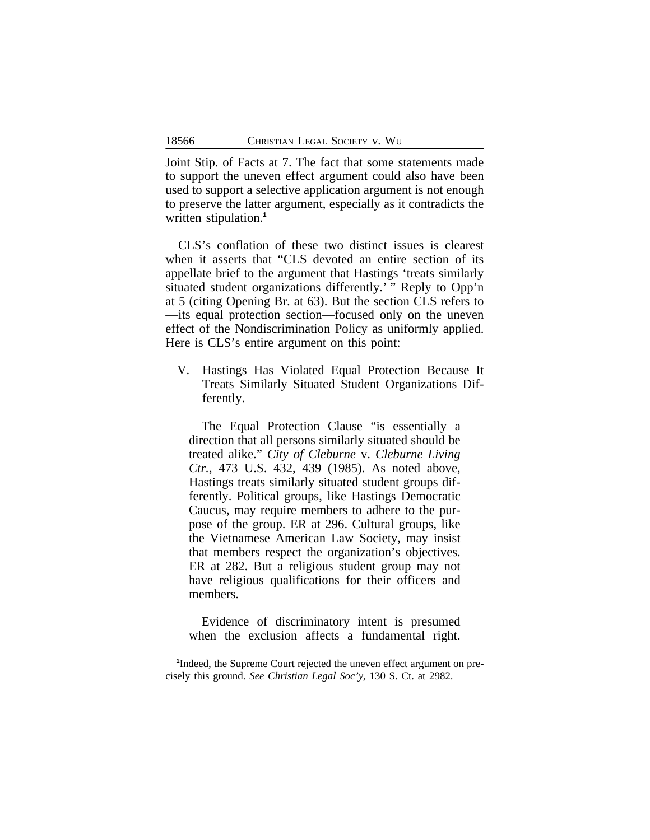Joint Stip. of Facts at 7. The fact that some statements made to support the uneven effect argument could also have been used to support a selective application argument is not enough to preserve the latter argument, especially as it contradicts the written stipulation.**<sup>1</sup>**

CLS's conflation of these two distinct issues is clearest when it asserts that "CLS devoted an entire section of its appellate brief to the argument that Hastings 'treats similarly situated student organizations differently.' "Reply to Opp'n at 5 (citing Opening Br. at 63). But the section CLS refers to —its equal protection section—focused only on the uneven effect of the Nondiscrimination Policy as uniformly applied. Here is  $CLS$ 's entire argument on this point:

V. Hastings Has Violated Equal Protection Because It Treats Similarly Situated Student Organizations Differently.

The Equal Protection Clause "is essentially a direction that all persons similarly situated should be treated alike." *City of Cleburne* v. *Cleburne Living Ctr.*, 473 U.S. 432, 439 (1985). As noted above, Hastings treats similarly situated student groups differently. Political groups, like Hastings Democratic Caucus, may require members to adhere to the purpose of the group. ER at 296. Cultural groups, like the Vietnamese American Law Society, may insist that members respect the organization's objectives. ER at 282. But a religious student group may not have religious qualifications for their officers and members.

Evidence of discriminatory intent is presumed when the exclusion affects a fundamental right.

<sup>&</sup>lt;sup>1</sup>Indeed, the Supreme Court rejected the uneven effect argument on precisely this ground. *See Christian Legal Soc'y*, 130 S. Ct. at 2982.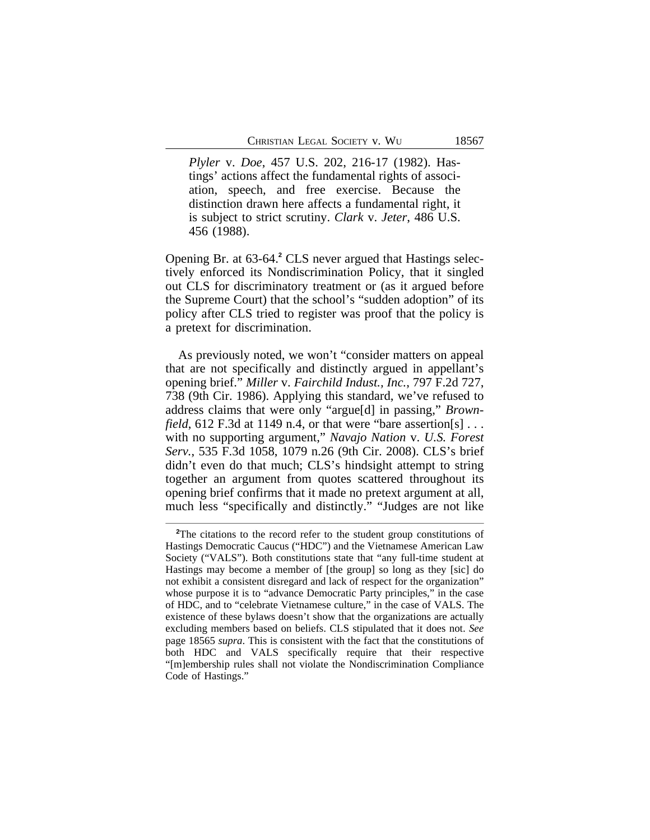*Plyler* v. *Doe*, 457 U.S. 202, 216-17 (1982). Hastings' actions affect the fundamental rights of association, speech, and free exercise. Because the distinction drawn here affects a fundamental right, it is subject to strict scrutiny. *Clark* v. *Jeter*, 486 U.S. 456 (1988).

Opening Br. at 63-64.**<sup>2</sup>** CLS never argued that Hastings selectively enforced its Nondiscrimination Policy, that it singled out CLS for discriminatory treatment or (as it argued before the Supreme Court) that the school's "sudden adoption" of its policy after CLS tried to register was proof that the policy is a pretext for discrimination.

As previously noted, we won't "consider matters on appeal that are not specifically and distinctly argued in appellant's opening brief." *Miller* v. *Fairchild Indust., Inc.*, 797 F.2d 727, 738 (9th Cir. 1986). Applying this standard, we've refused to address claims that were only "argue[d] in passing," *Brownfield*, 612 F.3d at 1149 n.4, or that were "bare assertion[s]  $\ldots$ with no supporting argument," *Navajo Nation* v. *U.S. Forest Serv.*, 535 F.3d 1058, 1079 n.26 (9th Cir. 2008). CLS's brief didn't even do that much; CLS's hindsight attempt to string together an argument from quotes scattered throughout its opening brief confirms that it made no pretext argument at all, much less "specifically and distinctly." "Judges are not like

<sup>&</sup>lt;sup>2</sup>The citations to the record refer to the student group constitutions of Hastings Democratic Caucus ("HDC") and the Vietnamese American Law Society ("VALS"). Both constitutions state that "any full-time student at Hastings may become a member of [the group] so long as they [sic] do not exhibit a consistent disregard and lack of respect for the organization" whose purpose it is to "advance Democratic Party principles," in the case of HDC, and to "celebrate Vietnamese culture," in the case of VALS. The existence of these bylaws doesn't show that the organizations are actually excluding members based on beliefs. CLS stipulated that it does not. *See* page 18565 *supra*. This is consistent with the fact that the constitutions of both HDC and VALS specifically require that their respective "[m]embership rules shall not violate the Nondiscrimination Compliance Code of Hastings."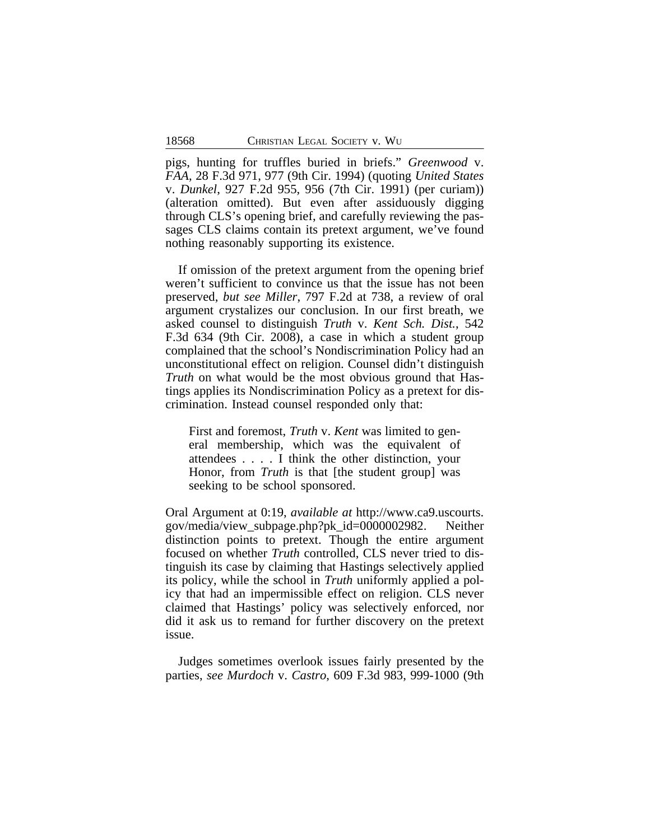pigs, hunting for truffles buried in briefs." *Greenwood* v. *FAA*, 28 F.3d 971, 977 (9th Cir. 1994) (quoting *United States* v. *Dunkel*, 927 F.2d 955, 956 (7th Cir. 1991) (per curiam)) (alteration omitted). But even after assiduously digging through CLS's opening brief, and carefully reviewing the passages CLS claims contain its pretext argument, we've found nothing reasonably supporting its existence.

If omission of the pretext argument from the opening brief weren't sufficient to convince us that the issue has not been preserved, *but see Miller*, 797 F.2d at 738, a review of oral argument crystalizes our conclusion. In our first breath, we asked counsel to distinguish *Truth* v. *Kent Sch. Dist.*, 542 F.3d 634 (9th Cir. 2008), a case in which a student group complained that the school's Nondiscrimination Policy had an unconstitutional effect on religion. Counsel didn't distinguish *Truth* on what would be the most obvious ground that Hastings applies its Nondiscrimination Policy as a pretext for discrimination. Instead counsel responded only that:

First and foremost, *Truth* v. *Kent* was limited to general membership, which was the equivalent of attendees . . . . I think the other distinction, your Honor, from *Truth* is that [the student group] was seeking to be school sponsored.

Oral Argument at 0:19, *available at* http://www.ca9.uscourts. gov/media/view\_subpage.php?pk\_id=0000002982. Neither distinction points to pretext. Though the entire argument focused on whether *Truth* controlled, CLS never tried to distinguish its case by claiming that Hastings selectively applied its policy, while the school in *Truth* uniformly applied a policy that had an impermissible effect on religion. CLS never claimed that Hastings' policy was selectively enforced, nor did it ask us to remand for further discovery on the pretext issue.

Judges sometimes overlook issues fairly presented by the parties, *see Murdoch* v. *Castro*, 609 F.3d 983, 999-1000 (9th